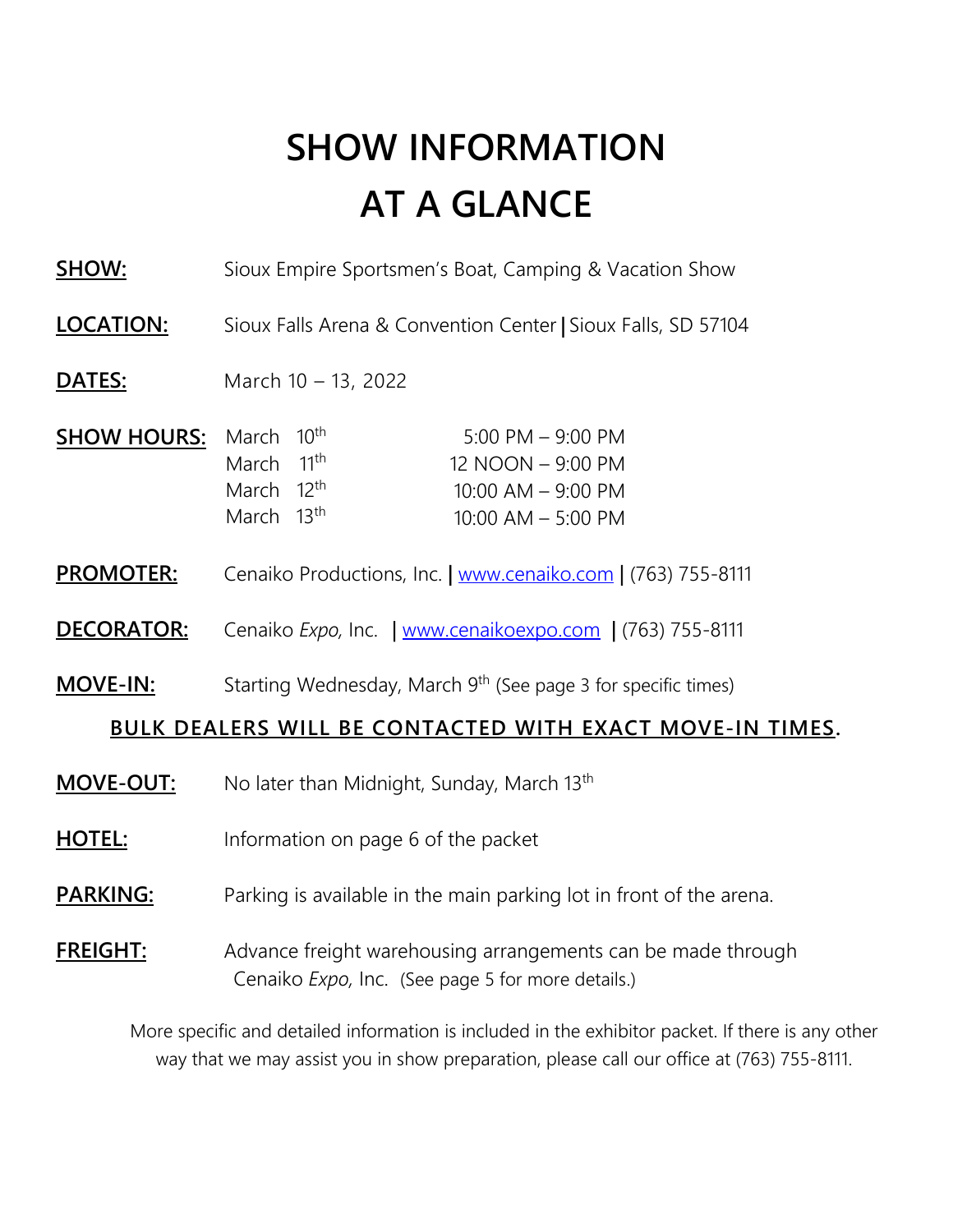# **SHOW INFORMATION AT A GLANCE**

**SHOW:** Sioux Empire Sportsmen's Boat, Camping & Vacation Show

**LOCATION:** Sioux Falls Arena & Convention Center | Sioux Falls, SD 57104

**DATES:** March 10 – 13, 2022

| <b>SHOW HOURS:</b> March 10th |                        | $5:00 \text{ PM} - 9:00 \text{ PM}$ |
|-------------------------------|------------------------|-------------------------------------|
|                               | March 11 <sup>th</sup> | 12 NOON – 9:00 PM                   |
|                               | March 12 <sup>th</sup> | $10:00$ AM $-$ 9:00 PM              |
|                               | March 13 <sup>th</sup> | $10:00$ AM $-$ 5:00 PM              |

- **PROMOTER:** Cenaiko Productions, Inc. | [www.cenaiko.com](http://www.cenaiko.com/) | (763) 755-8111
- **DECORATOR:** Cenaiko *Expo,* Inc. | [www.cenaikoexpo.com](http://www.cenaikoexpo.com/) | (763) 755-8111
- **MOVE-IN:** Starting Wednesday, March 9<sup>th</sup> (See page 3 for specific times)

#### **BULK DEALERS WILL BE CONTACTED WITH EXACT MOVE-IN TIMES.**

- **MOVE-OUT:** No later than Midnight, Sunday, March 13<sup>th</sup>
- **HOTEL:** Information on page 6 of the packet
- **PARKING:** Parking is available in the main parking lot in front of the arena.
- **FREIGHT:** Advance freight warehousing arrangements can be made through Cenaiko *Expo,* Inc. (See page 5 for more details.)

More specific and detailed information is included in the exhibitor packet. If there is any other way that we may assist you in show preparation, please call our office at (763) 755-8111.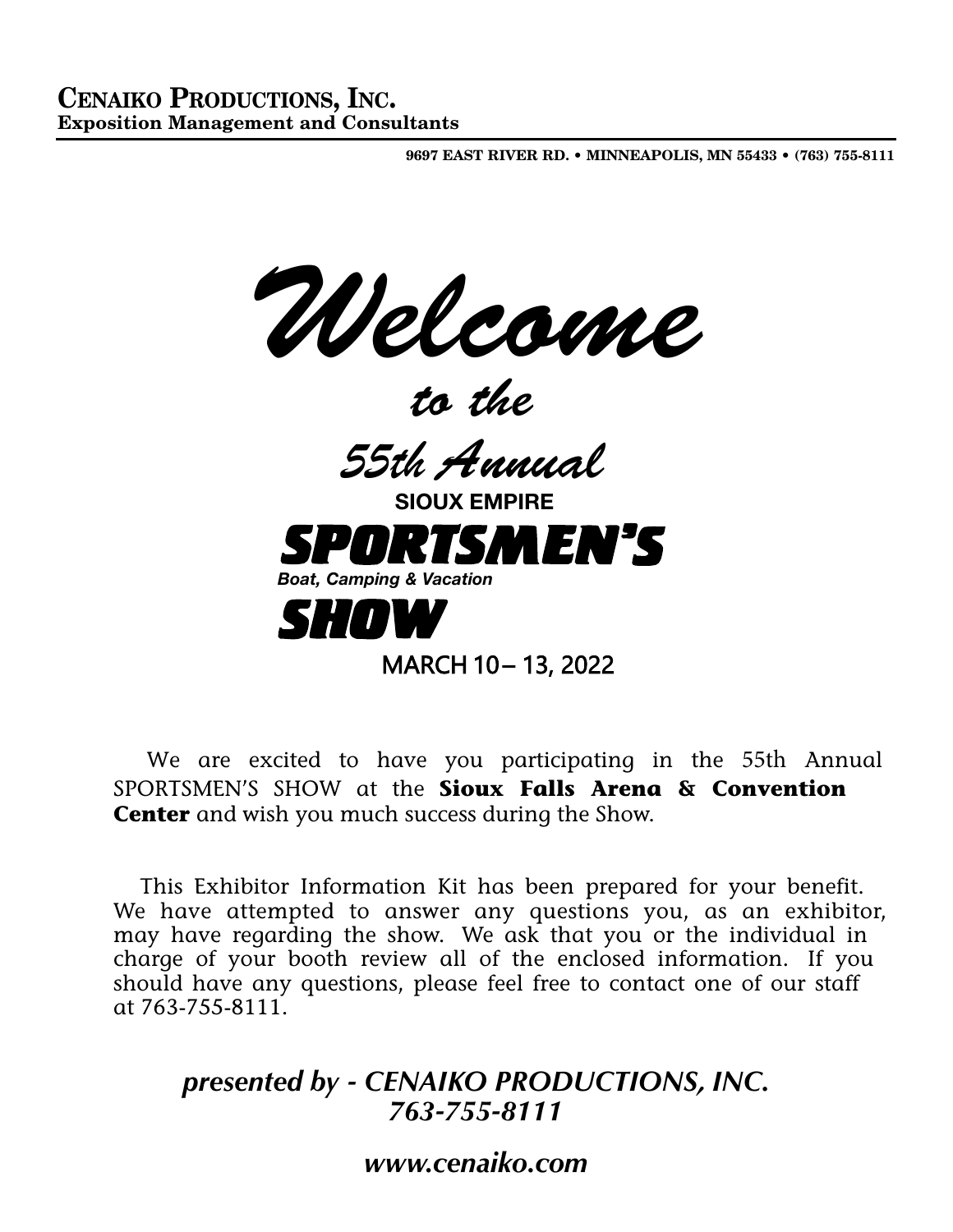9697 EAST RiVER RD. • MiNNEAPOLiS, MN 55433 • (763) 755-8111

*Welcome*

*to the*

*55th Annual* sioux empire





MARCH 10-13, 2022

We are excited to have you participating in the 55th Annual SPORTSMEN'S SHOW at the **Sioux Falls Arena & Convention Center** and wish you much success during the Show.

 This Exhibitor Information Kit has been prepared for your benefit. We have attempted to answer any questions you, as an exhibitor, may have regarding the show. We ask that you or the individual in charge of your booth review all of the enclosed information. If you should have any questions, please feel free to contact one of our staff at 763-755-8111.

*presented by - CENAIKO PRODUCTIONS, INC. 763-755-8111*

*www.cenaiko.com*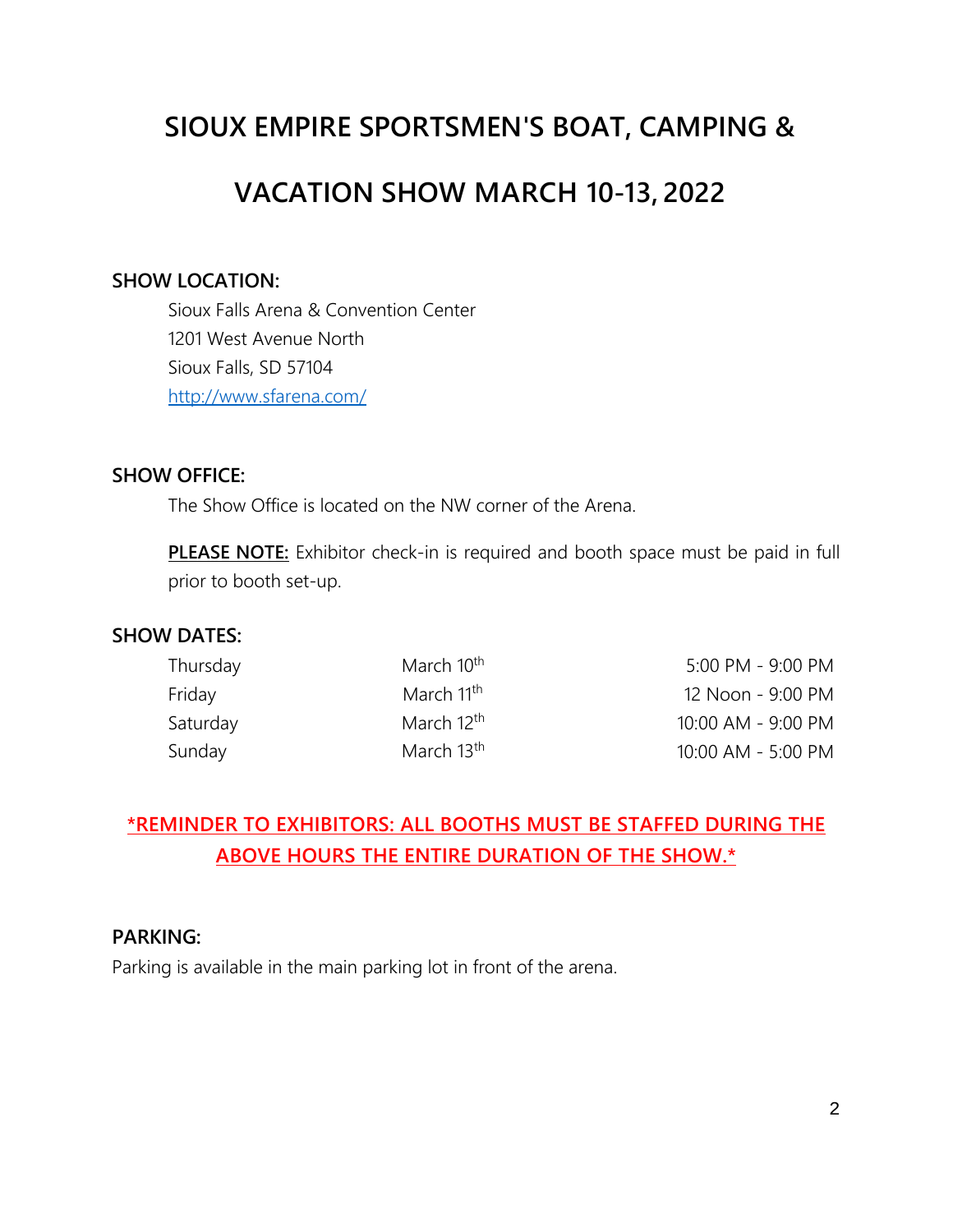# **SIOUX EMPIRE SPORTSMEN'S BOAT, CAMPING &**

# **VACATION SHOW MARCH 10-13, 2022**

#### **SHOW LOCATION:**

Sioux Falls Arena & Convention Center 1201 West Avenue North Sioux Falls, SD 57104 <http://www.sfarena.com/>

#### **SHOW OFFICE:**

The Show Office is located on the NW corner of the Arena.

**PLEASE NOTE:** Exhibitor check-in is required and booth space must be paid in full prior to booth set-up.

#### **SHOW DATES:**

| Thursday | March 10 <sup>th</sup> | 5:00 PM - 9:00 PM  |
|----------|------------------------|--------------------|
| Friday   | March 11 <sup>th</sup> | 12 Noon - 9:00 PM  |
| Saturday | March 12 <sup>th</sup> | 10:00 AM - 9:00 PM |
| Sunday   | March 13 <sup>th</sup> | 10:00 AM - 5:00 PM |

## **\*REMINDER TO EXHIBITORS: ALL BOOTHS MUST BE STAFFED DURING THE ABOVE HOURS THE ENTIRE DURATION OF THE SHOW.\***

#### **PARKING:**

Parking is available in the main parking lot in front of the arena.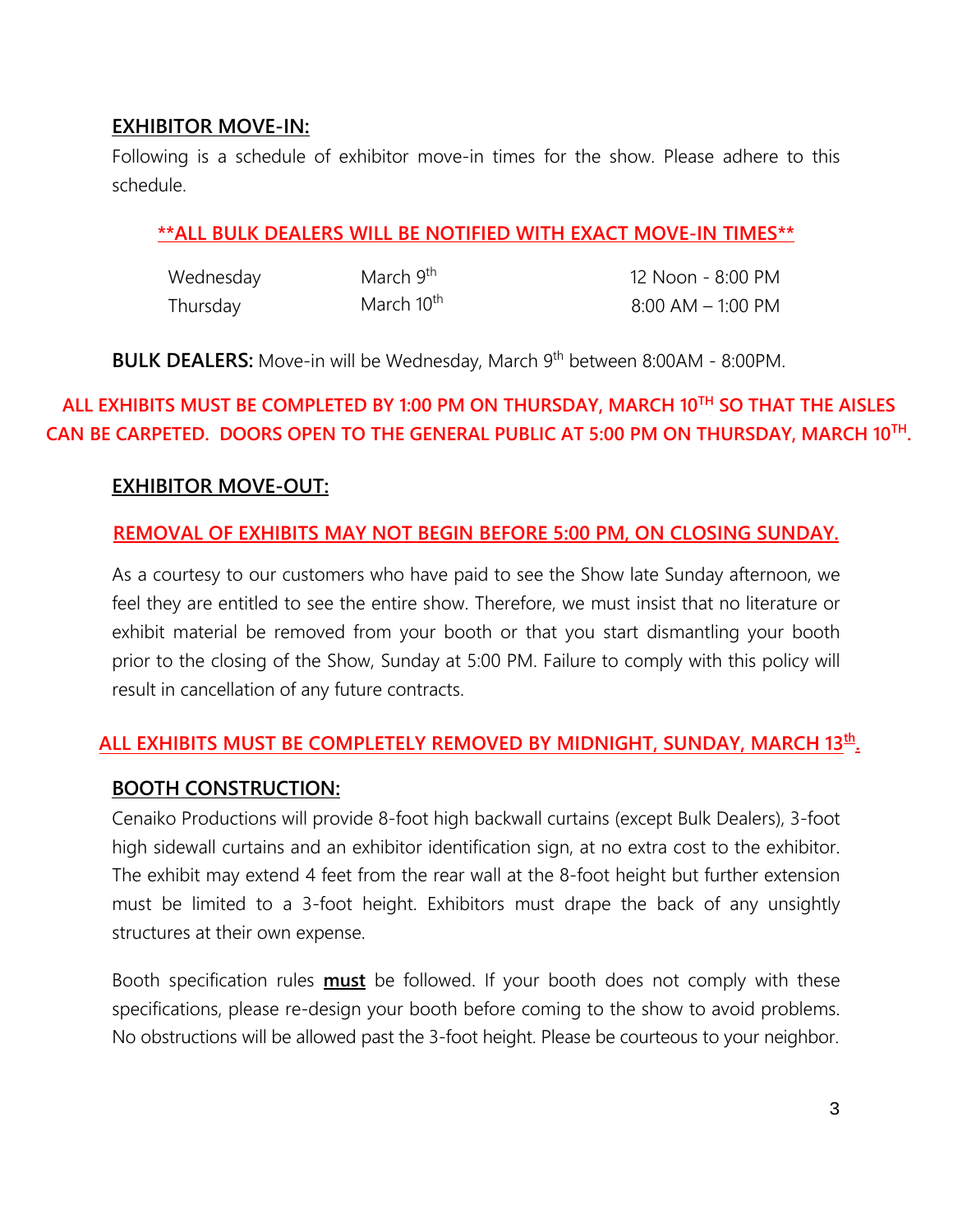#### **EXHIBITOR MOVE-IN:**

Following is a schedule of exhibitor move-in times for the show. Please adhere to this schedule.

#### **\*\*ALL BULK DEALERS WILL BE NOTIFIED WITH EXACT MOVE-IN TIMES\*\***

| Wednesday | March 9 <sup>th</sup>  | 12 Noon - 8:00 PM     |
|-----------|------------------------|-----------------------|
| Thursday  | March 10 <sup>th</sup> | $8:00$ AM $-$ 1:00 PM |

**BULK DEALERS:** Move-in will be Wednesday, March 9<sup>th</sup> between 8:00AM - 8:00PM.

## **ALL EXHIBITS MUST BE COMPLETED BY 1:00 PM ON THURSDAY, MARCH 10 TH SO THAT THE AISLES CAN BE CARPETED. DOORS OPEN TO THE GENERAL PUBLIC AT 5:00 PM ON THURSDAY, MARCH 10 TH .**

#### **EXHIBITOR MOVE-OUT:**

#### **REMOVAL OF EXHIBITS MAY NOT BEGIN BEFORE 5:00 PM, ON CLOSING SUNDAY.**

As a courtesy to our customers who have paid to see the Show late Sunday afternoon, we feel they are entitled to see the entire show. Therefore, we must insist that no literature or exhibit material be removed from your booth or that you start dismantling your booth prior to the closing of the Show, Sunday at 5:00 PM. Failure to comply with this policy will result in cancellation of any future contracts.

#### **ALL EXHIBITS MUST BE COMPLETELY REMOVED BY MIDNIGHT, SUNDAY, MARCH 13 th .**

#### **BOOTH CONSTRUCTION:**

Cenaiko Productions will provide 8-foot high backwall curtains (except Bulk Dealers), 3-foot high sidewall curtains and an exhibitor identification sign, at no extra cost to the exhibitor. The exhibit may extend 4 feet from the rear wall at the 8-foot height but further extension must be limited to a 3-foot height. Exhibitors must drape the back of any unsightly structures at their own expense.

Booth specification rules **must** be followed. If your booth does not comply with these specifications, please re-design your booth before coming to the show to avoid problems. No obstructions will be allowed past the 3-foot height. Please be courteous to your neighbor.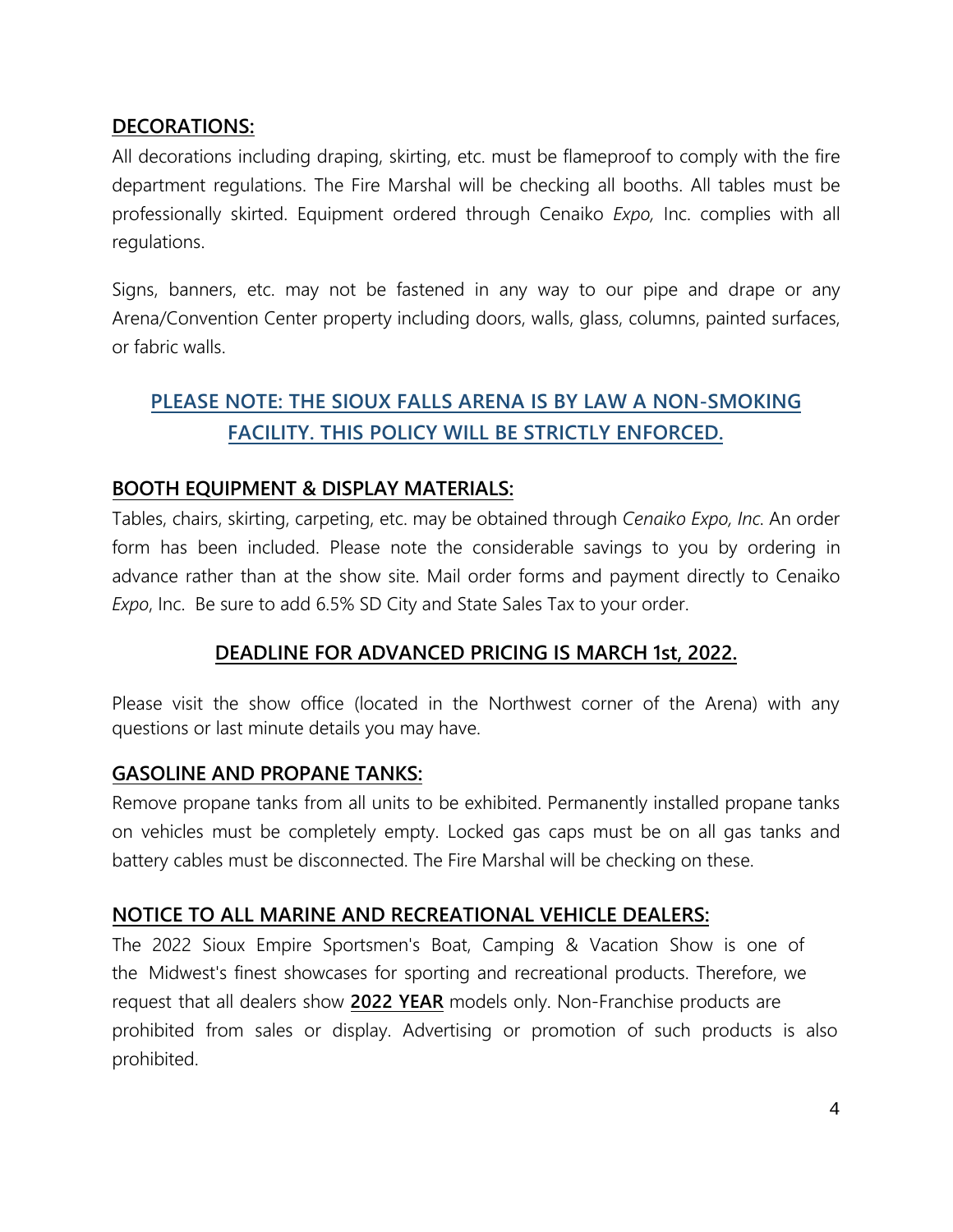#### **DECORATIONS:**

All decorations including draping, skirting, etc. must be flameproof to comply with the fire department regulations. The Fire Marshal will be checking all booths. All tables must be professionally skirted. Equipment ordered through Cenaiko *Expo,* Inc. complies with all regulations.

Signs, banners, etc. may not be fastened in any way to our pipe and drape or any Arena/Convention Center property including doors, walls, glass, columns, painted surfaces, or fabric walls.

## **PLEASE NOTE: THE SIOUX FALLS ARENA IS BY LAW A NON-SMOKING FACILITY. THIS POLICY WILL BE STRICTLY ENFORCED.**

#### **BOOTH EQUIPMENT & DISPLAY MATERIALS:**

Tables, chairs, skirting, carpeting, etc. may be obtained through *Cenaiko Expo, Inc*. An order form has been included. Please note the considerable savings to you by ordering in advance rather than at the show site. Mail order forms and payment directly to Cenaiko *Expo*, Inc. Be sure to add 6.5% SD City and State Sales Tax to your order.

#### **DEADLINE FOR ADVANCED PRICING IS MARCH 1st, 2022.**

Please visit the show office (located in the Northwest corner of the Arena) with any questions or last minute details you may have.

#### **GASOLINE AND PROPANE TANKS:**

Remove propane tanks from all units to be exhibited. Permanently installed propane tanks on vehicles must be completely empty. Locked gas caps must be on all gas tanks and battery cables must be disconnected. The Fire Marshal will be checking on these.

#### **NOTICE TO ALL MARINE AND RECREATIONAL VEHICLE DEALERS:**

The 2022 Sioux Empire Sportsmen's Boat, Camping & Vacation Show is one of the Midwest's finest showcases for sporting and recreational products. Therefore, we request that all dealers show **2022 YEAR** models only. Non-Franchise products are prohibited from sales or display. Advertising or promotion of such products is also prohibited.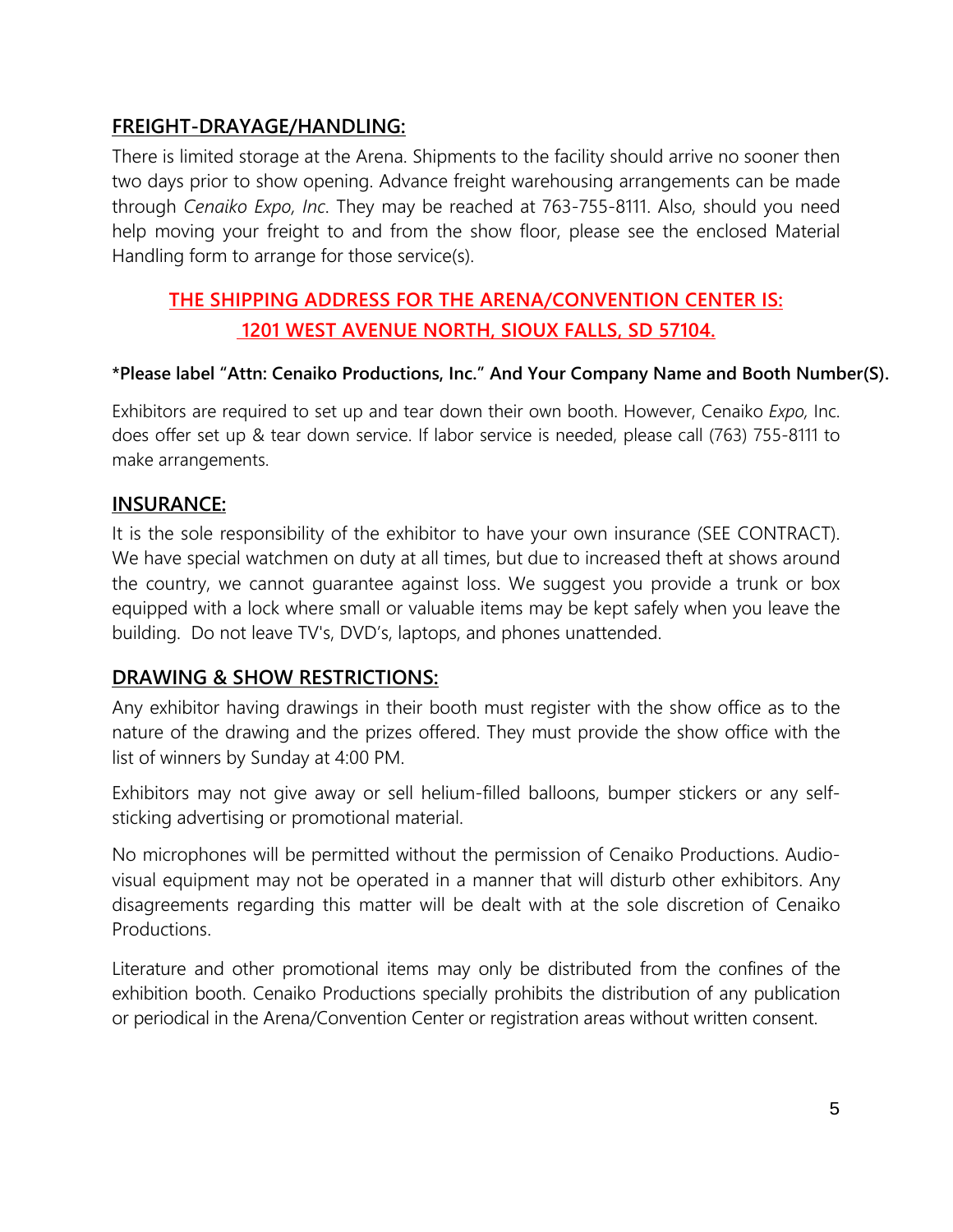#### **FREIGHT-DRAYAGE/HANDLING:**

There is limited storage at the Arena. Shipments to the facility should arrive no sooner then two days prior to show opening. Advance freight warehousing arrangements can be made through *Cenaiko Expo, Inc*. They may be reached at 763-755-8111. Also, should you need help moving your freight to and from the show floor, please see the enclosed Material Handling form to arrange for those service(s).

## **THE SHIPPING ADDRESS FOR THE ARENA/CONVENTION CENTER IS: 1201 WEST AVENUE NORTH, SIOUX FALLS, SD 57104.**

#### **\*Please label "Attn: Cenaiko Productions, Inc." And Your Company Name and Booth Number(S).**

Exhibitors are required to set up and tear down their own booth. However, Cenaiko *Expo,* Inc. does offer set up & tear down service. If labor service is needed, please call (763) 755-8111 to make arrangements.

#### **INSURANCE:**

It is the sole responsibility of the exhibitor to have your own insurance (SEE CONTRACT). We have special watchmen on duty at all times, but due to increased theft at shows around the country, we cannot guarantee against loss. We suggest you provide a trunk or box equipped with a lock where small or valuable items may be kept safely when you leave the building. Do not leave TV's, DVD's, laptops, and phones unattended.

#### **DRAWING & SHOW RESTRICTIONS:**

Any exhibitor having drawings in their booth must register with the show office as to the nature of the drawing and the prizes offered. They must provide the show office with the list of winners by Sunday at 4:00 PM.

Exhibitors may not give away or sell helium-filled balloons, bumper stickers or any selfsticking advertising or promotional material.

No microphones will be permitted without the permission of Cenaiko Productions. Audiovisual equipment may not be operated in a manner that will disturb other exhibitors. Any disagreements regarding this matter will be dealt with at the sole discretion of Cenaiko Productions.

Literature and other promotional items may only be distributed from the confines of the exhibition booth. Cenaiko Productions specially prohibits the distribution of any publication or periodical in the Arena/Convention Center or registration areas without written consent.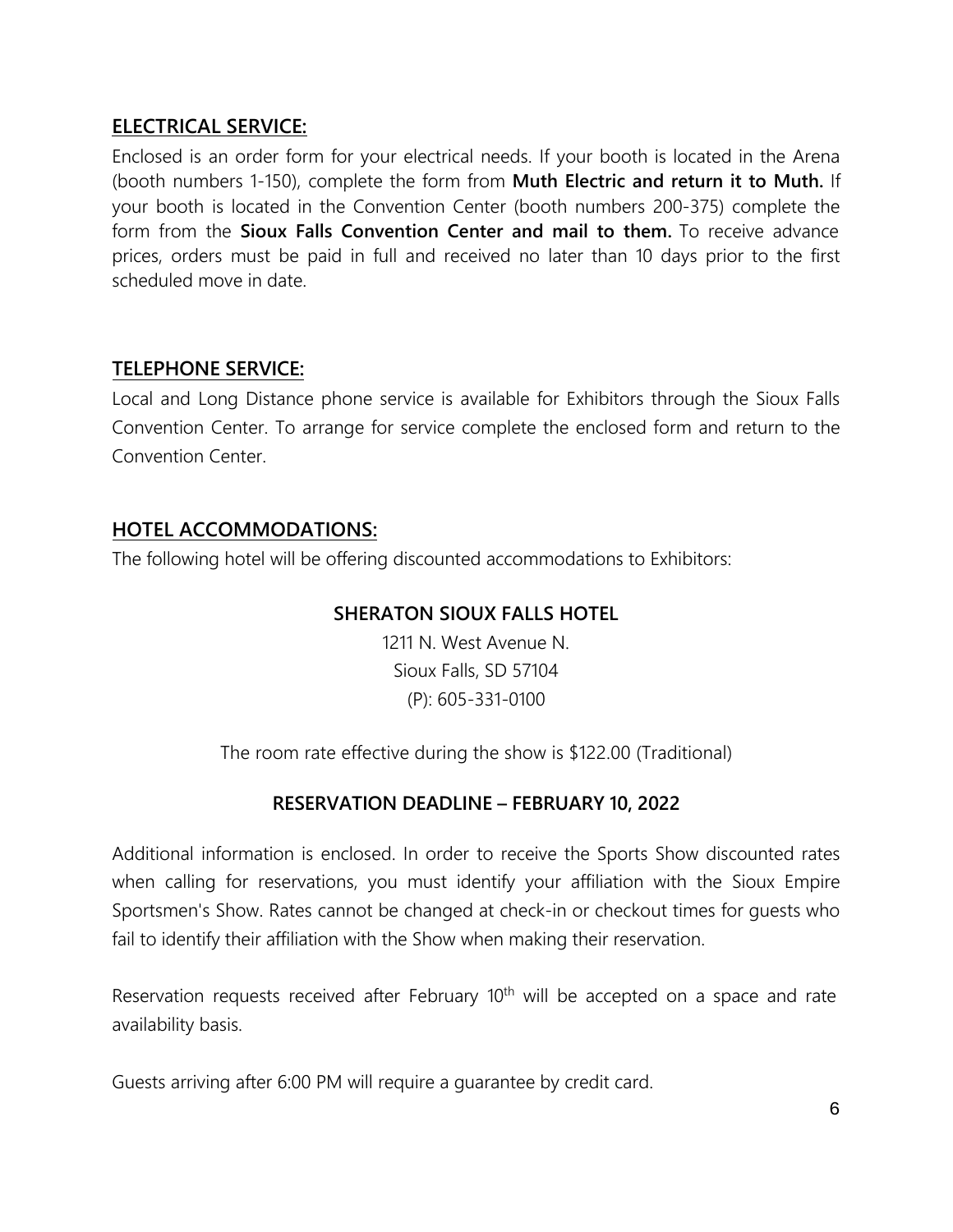#### **ELECTRICAL SERVICE:**

Enclosed is an order form for your electrical needs. If your booth is located in the Arena (booth numbers 1-150), complete the form from **Muth Electric and return it to Muth.** If your booth is located in the Convention Center (booth numbers 200-375) complete the form from the **Sioux Falls Convention Center and mail to them.** To receive advance prices, orders must be paid in full and received no later than 10 days prior to the first scheduled move in date.

#### **TELEPHONE SERVICE:**

Local and Long Distance phone service is available for Exhibitors through the Sioux Falls Convention Center. To arrange for service complete the enclosed form and return to the Convention Center.

#### **HOTEL ACCOMMODATIONS:**

The following hotel will be offering discounted accommodations to Exhibitors:

#### **SHERATON SIOUX FALLS HOTEL**

1211 N. West Avenue N. Sioux Falls, SD 57104 (P): 605-331-0100

The room rate effective during the show is \$122.00 (Traditional)

#### **RESERVATION DEADLINE – FEBRUARY 10, 2022**

Additional information is enclosed. In order to receive the Sports Show discounted rates when calling for reservations, you must identify your affiliation with the Sioux Empire Sportsmen's Show. Rates cannot be changed at check-in or checkout times for guests who fail to identify their affiliation with the Show when making their reservation.

Reservation requests received after February 10<sup>th</sup> will be accepted on a space and rate availability basis.

Guests arriving after 6:00 PM will require a guarantee by credit card.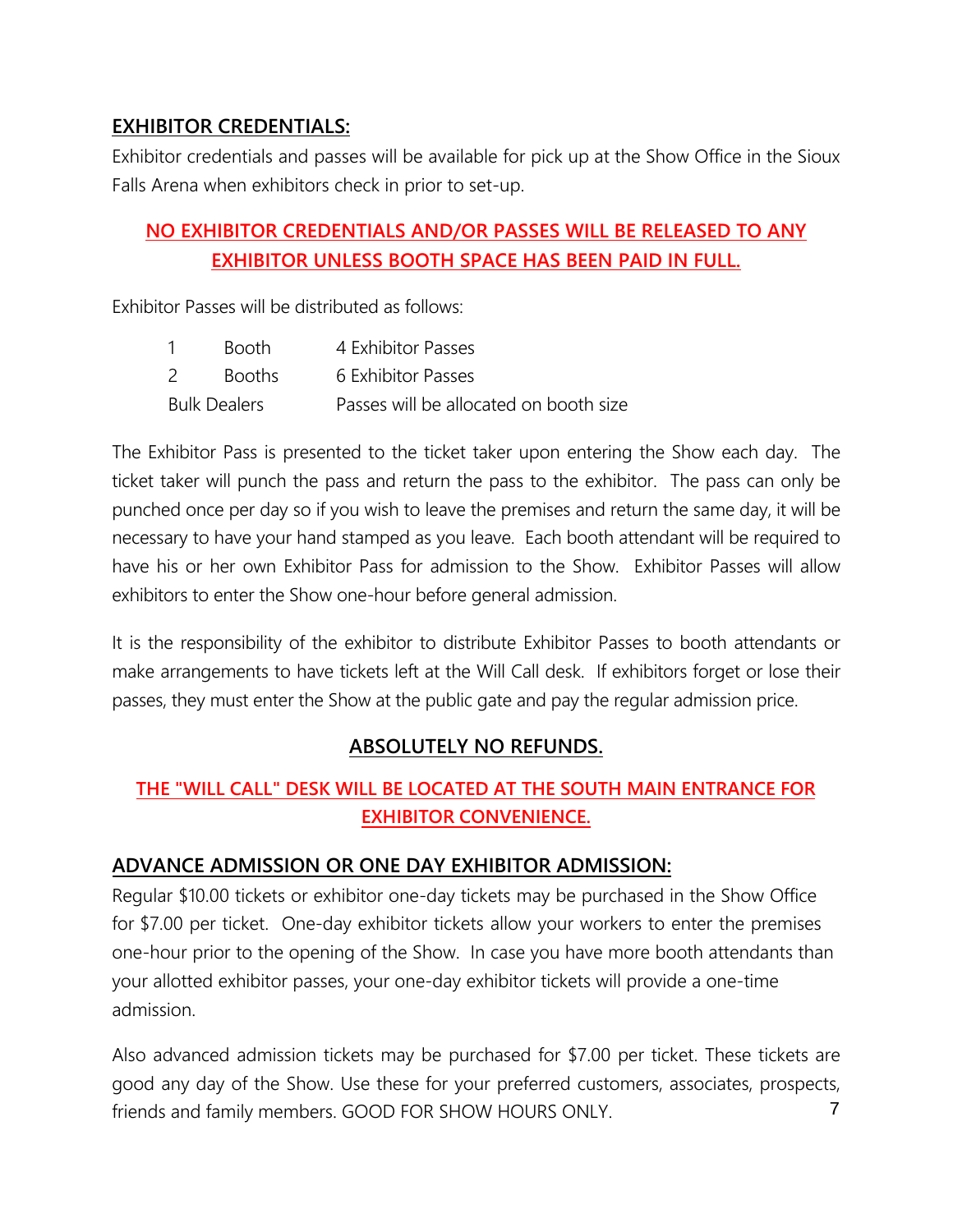#### **EXHIBITOR CREDENTIALS:**

Exhibitor credentials and passes will be available for pick up at the Show Office in the Sioux Falls Arena when exhibitors check in prior to set-up.

## **NO EXHIBITOR CREDENTIALS AND/OR PASSES WILL BE RELEASED TO ANY EXHIBITOR UNLESS BOOTH SPACE HAS BEEN PAID IN FULL.**

Exhibitor Passes will be distributed as follows:

|                     | <b>Booth</b>  | 4 Exhibitor Passes                     |
|---------------------|---------------|----------------------------------------|
|                     | <b>Booths</b> | 6 Exhibitor Passes                     |
| <b>Bulk Dealers</b> |               | Passes will be allocated on booth size |

The Exhibitor Pass is presented to the ticket taker upon entering the Show each day. The ticket taker will punch the pass and return the pass to the exhibitor. The pass can only be punched once per day so if you wish to leave the premises and return the same day, it will be necessary to have your hand stamped as you leave. Each booth attendant will be required to have his or her own Exhibitor Pass for admission to the Show. Exhibitor Passes will allow exhibitors to enter the Show one-hour before general admission.

It is the responsibility of the exhibitor to distribute Exhibitor Passes to booth attendants or make arrangements to have tickets left at the Will Call desk. If exhibitors forget or lose their passes, they must enter the Show at the public gate and pay the regular admission price.

## **ABSOLUTELY NO REFUNDS.**

## **THE "WILL CALL" DESK WILL BE LOCATED AT THE SOUTH MAIN ENTRANCE FOR EXHIBITOR CONVENIENCE.**

#### **ADVANCE ADMISSION OR ONE DAY EXHIBITOR ADMISSION:**

Regular \$10.00 tickets or exhibitor one-day tickets may be purchased in the Show Office for \$7.00 per ticket. One-day exhibitor tickets allow your workers to enter the premises one-hour prior to the opening of the Show. In case you have more booth attendants than your allotted exhibitor passes, your one-day exhibitor tickets will provide a one-time admission.

Also advanced admission tickets may be purchased for \$7.00 per ticket. These tickets are good any day of the Show. Use these for your preferred customers, associates, prospects, friends and family members. GOOD FOR SHOW HOURS ONLY. 7